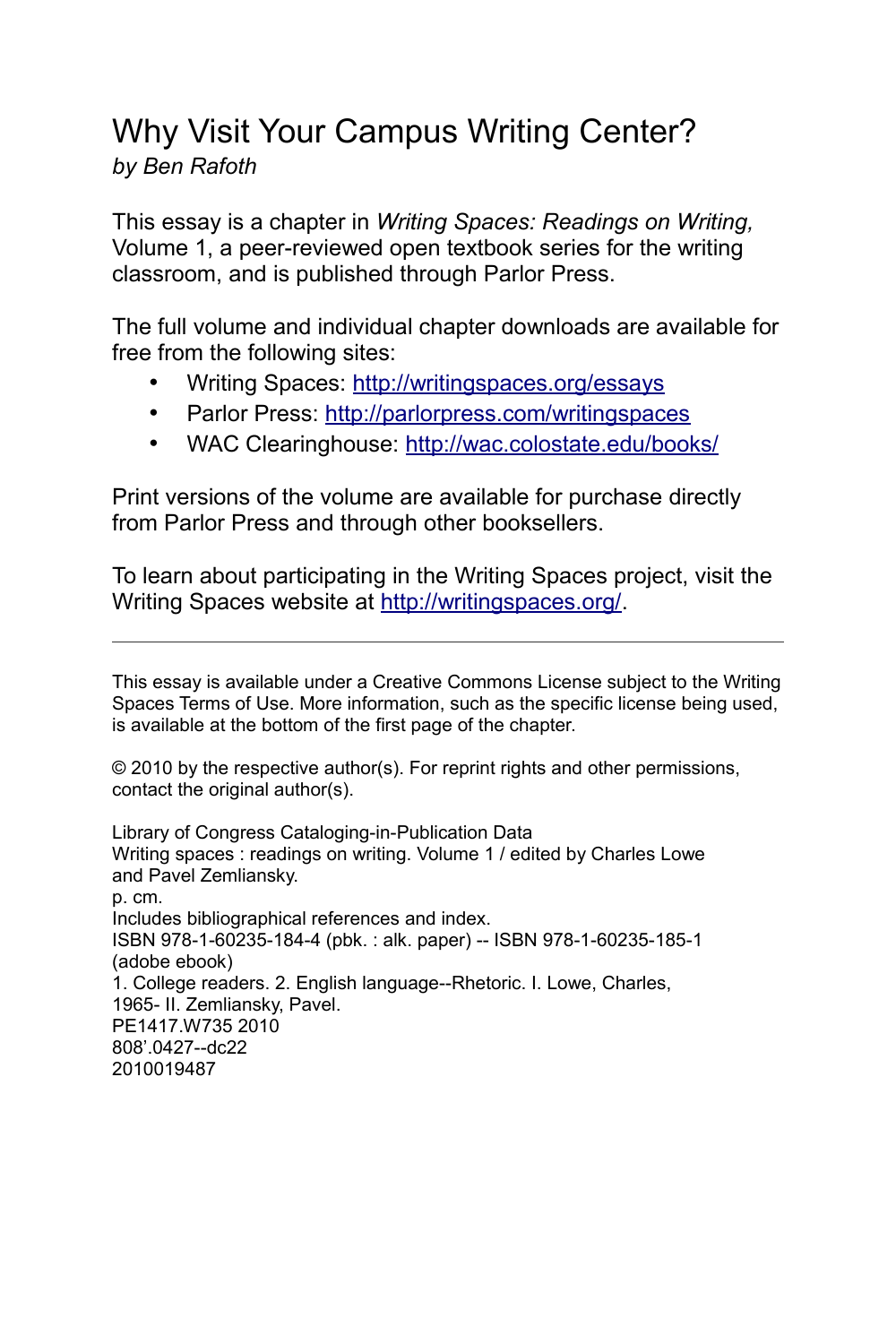# Why Visit Your Campus Writing Center? *by Ben Rafoth*

This essay is a chapter in *Writing Spaces: Readings on Writing,* Volume 1, a peer-reviewed open textbook series for the writing classroom, and is published through Parlor Press.

The full volume and individual chapter downloads are available for free from the following sites:

- Writing Spaces:<http://writingspaces.org/essays>
- Parlor Press:<http://parlorpress.com/writingspaces>
- WAC Clearinghouse:<http://wac.colostate.edu/books/>

Print versions of the volume are available for purchase directly from Parlor Press and through other booksellers.

To learn about participating in the Writing Spaces project, visit the Writing Spaces website at [http://writingspaces.org/.](http://writingspaces.org/)

This essay is available under a Creative Commons License subject to the Writing Spaces Terms of Use. More information, such as the specific license being used, is available at the bottom of the first page of the chapter.

© 2010 by the respective author(s). For reprint rights and other permissions, contact the original author(s).

Library of Congress Cataloging-in-Publication Data Writing spaces : readings on writing. Volume 1 / edited by Charles Lowe and Pavel Zemliansky. p. cm. Includes bibliographical references and index. ISBN 978-1-60235-184-4 (pbk. : alk. paper) -- ISBN 978-1-60235-185-1 (adobe ebook) 1. College readers. 2. English language--Rhetoric. I. Lowe, Charles, 1965- II. Zemliansky, Pavel. PE1417.W735 2010 808'.0427--dc22 2010019487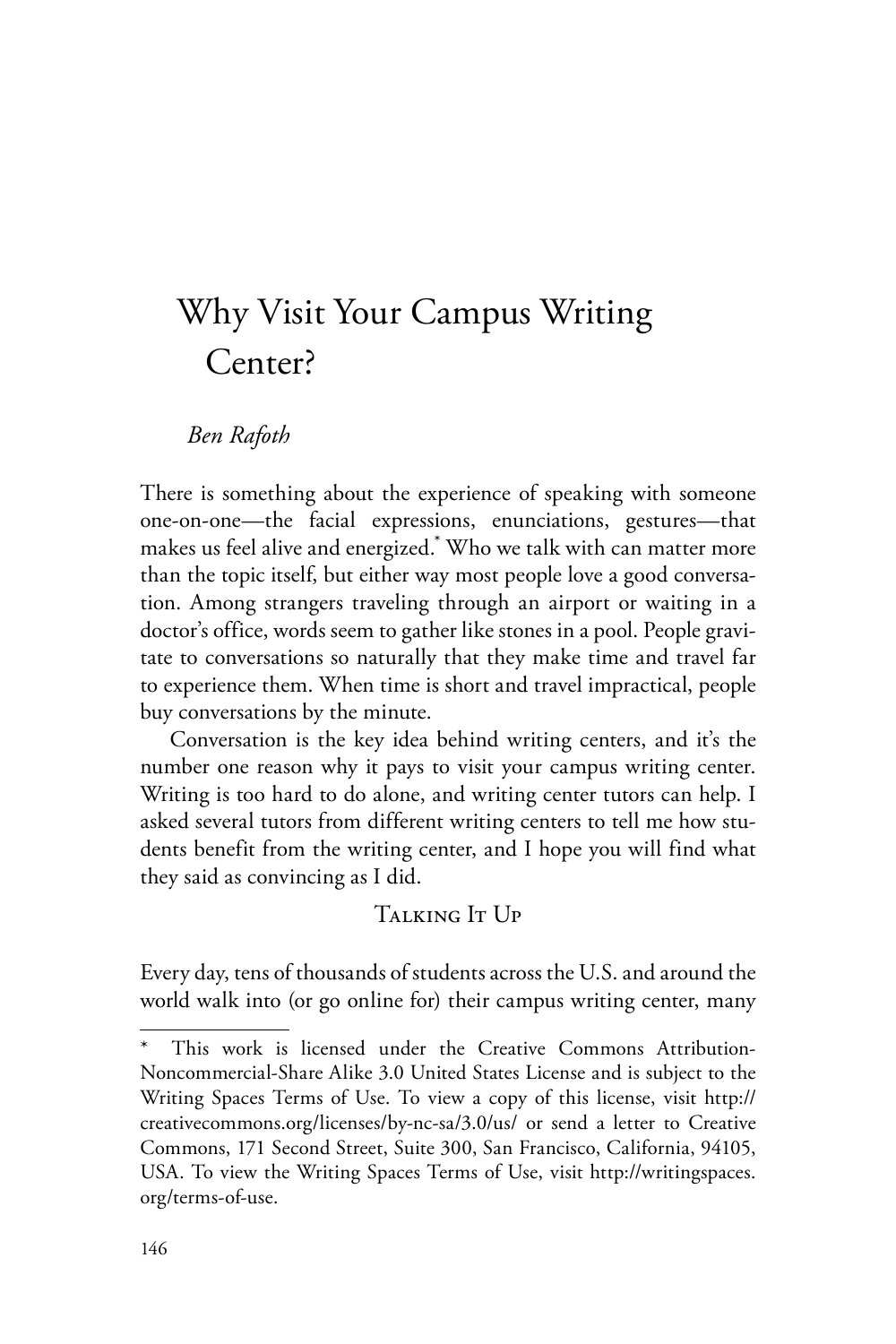# Why Visit Your Campus Writing Center?

### *Ben Rafoth*

There is something about the experience of speaking with someone one-on-one—the facial expressions, enunciations, gestures—that makes us feel alive and energized.\* Who we talk with can matter more than the topic itself, but either way most people love a good conversation. Among strangers traveling through an airport or waiting in a doctor's office, words seem to gather like stones in a pool. People gravitate to conversations so naturally that they make time and travel far to experience them. When time is short and travel impractical, people buy conversations by the minute.

Conversation is the key idea behind writing centers, and it's the number one reason why it pays to visit your campus writing center. Writing is too hard to do alone, and writing center tutors can help. I asked several tutors from different writing centers to tell me how students benefit from the writing center, and I hope you will find what they said as convincing as I did.

## Talking It Up

Every day, tens of thousands of students across the U.S. and around the world walk into (or go online for) their campus writing center, many

This work is licensed under the Creative Commons Attribution-Noncommercial-Share Alike 3.0 United States License and is subject to the Writing Spaces Terms of Use. To view a copy of this license, visit http:// creativecommons.org/licenses/by-nc-sa/3.0/us/ or send a letter to Creative Commons, 171 Second Street, Suite 300, San Francisco, California, 94105, USA. To view the Writing Spaces Terms of Use, visit http://writingspaces. org/terms-of-use.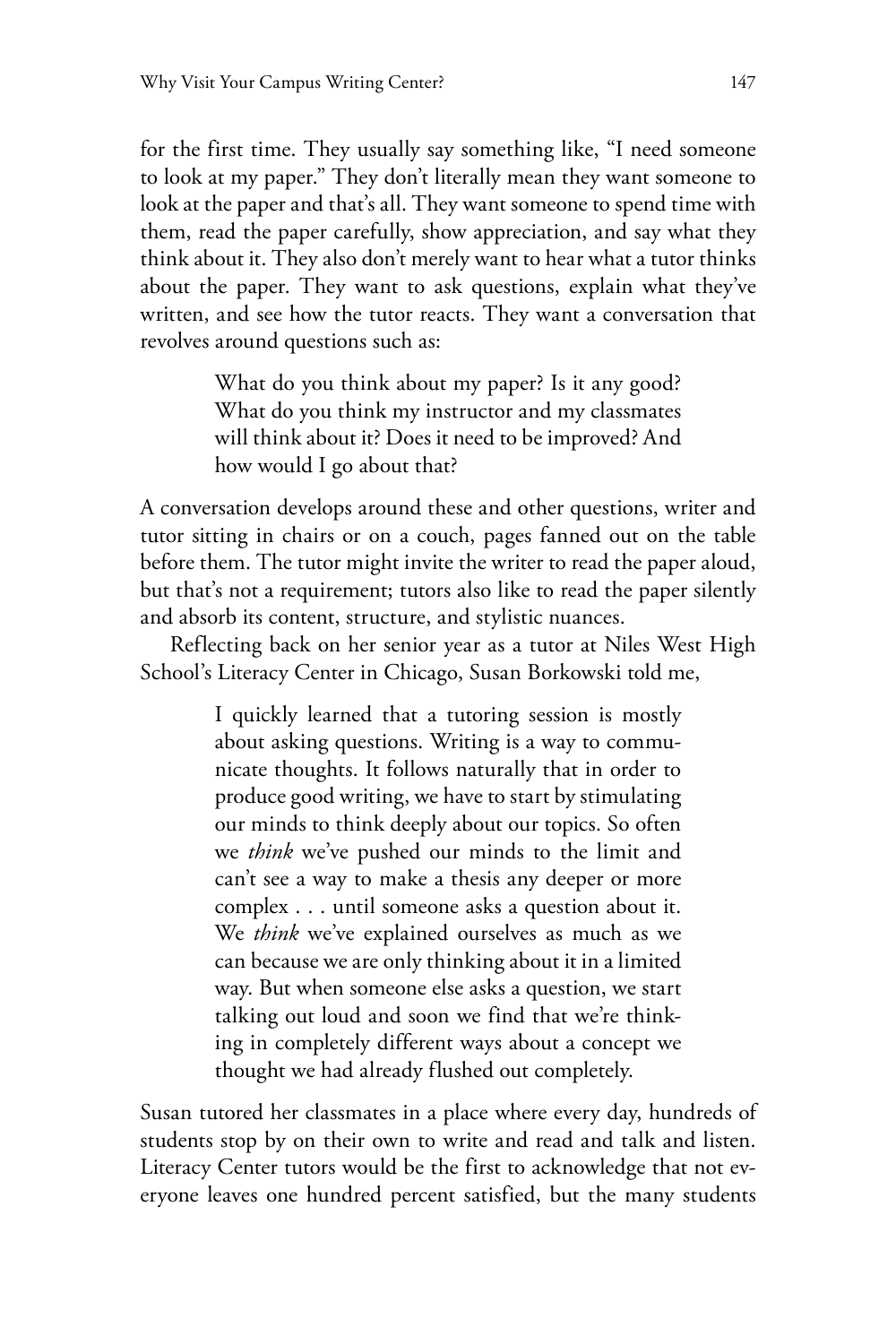for the first time. They usually say something like, "I need someone to look at my paper." They don't literally mean they want someone to look at the paper and that's all. They want someone to spend time with them, read the paper carefully, show appreciation, and say what they think about it. They also don't merely want to hear what a tutor thinks about the paper. They want to ask questions, explain what they've written, and see how the tutor reacts. They want a conversation that revolves around questions such as:

> What do you think about my paper? Is it any good? What do you think my instructor and my classmates will think about it? Does it need to be improved? And how would I go about that?

A conversation develops around these and other questions, writer and tutor sitting in chairs or on a couch, pages fanned out on the table before them. The tutor might invite the writer to read the paper aloud, but that's not a requirement; tutors also like to read the paper silently and absorb its content, structure, and stylistic nuances.

Reflecting back on her senior year as a tutor at Niles West High School's Literacy Center in Chicago, Susan Borkowski told me,

> I quickly learned that a tutoring session is mostly about asking questions. Writing is a way to communicate thoughts. It follows naturally that in order to produce good writing, we have to start by stimulating our minds to think deeply about our topics. So often we *think* we've pushed our minds to the limit and can't see a way to make a thesis any deeper or more complex . . . until someone asks a question about it. We *think* we've explained ourselves as much as we can because we are only thinking about it in a limited way. But when someone else asks a question, we start talking out loud and soon we find that we're thinking in completely different ways about a concept we thought we had already flushed out completely.

Susan tutored her classmates in a place where every day, hundreds of students stop by on their own to write and read and talk and listen. Literacy Center tutors would be the first to acknowledge that not everyone leaves one hundred percent satisfied, but the many students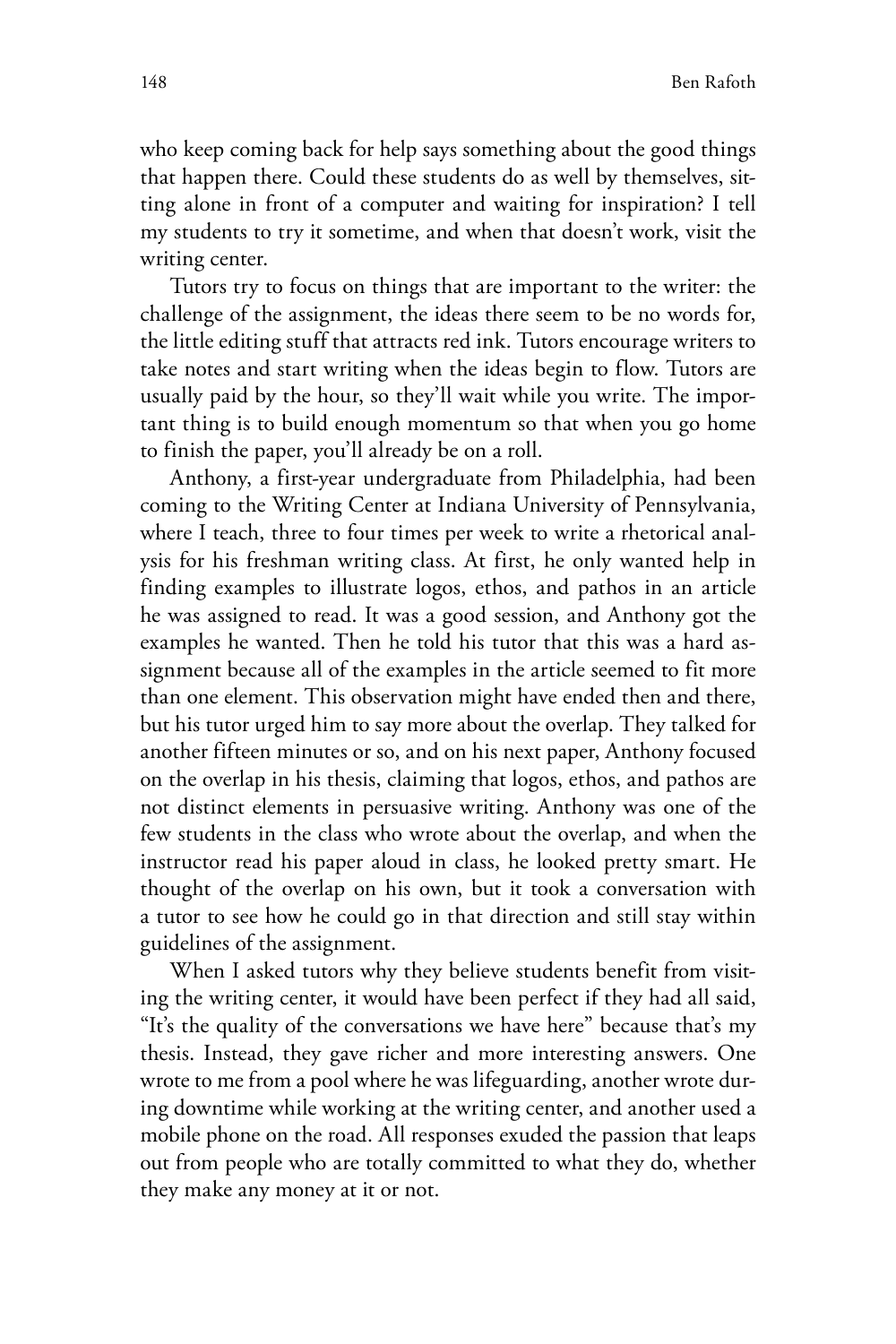who keep coming back for help says something about the good things that happen there. Could these students do as well by themselves, sitting alone in front of a computer and waiting for inspiration? I tell my students to try it sometime, and when that doesn't work, visit the writing center.

Tutors try to focus on things that are important to the writer: the challenge of the assignment, the ideas there seem to be no words for, the little editing stuff that attracts red ink. Tutors encourage writers to take notes and start writing when the ideas begin to flow. Tutors are usually paid by the hour, so they'll wait while you write. The important thing is to build enough momentum so that when you go home to finish the paper, you'll already be on a roll.

Anthony, a first-year undergraduate from Philadelphia, had been coming to the Writing Center at Indiana University of Pennsylvania, where I teach, three to four times per week to write a rhetorical analysis for his freshman writing class. At first, he only wanted help in finding examples to illustrate logos, ethos, and pathos in an article he was assigned to read. It was a good session, and Anthony got the examples he wanted. Then he told his tutor that this was a hard assignment because all of the examples in the article seemed to fit more than one element. This observation might have ended then and there, but his tutor urged him to say more about the overlap. They talked for another fifteen minutes or so, and on his next paper, Anthony focused on the overlap in his thesis, claiming that logos, ethos, and pathos are not distinct elements in persuasive writing. Anthony was one of the few students in the class who wrote about the overlap, and when the instructor read his paper aloud in class, he looked pretty smart. He thought of the overlap on his own, but it took a conversation with a tutor to see how he could go in that direction and still stay within guidelines of the assignment.

When I asked tutors why they believe students benefit from visiting the writing center, it would have been perfect if they had all said, "It's the quality of the conversations we have here" because that's my thesis. Instead, they gave richer and more interesting answers. One wrote to me from a pool where he was lifeguarding, another wrote during downtime while working at the writing center, and another used a mobile phone on the road. All responses exuded the passion that leaps out from people who are totally committed to what they do, whether they make any money at it or not.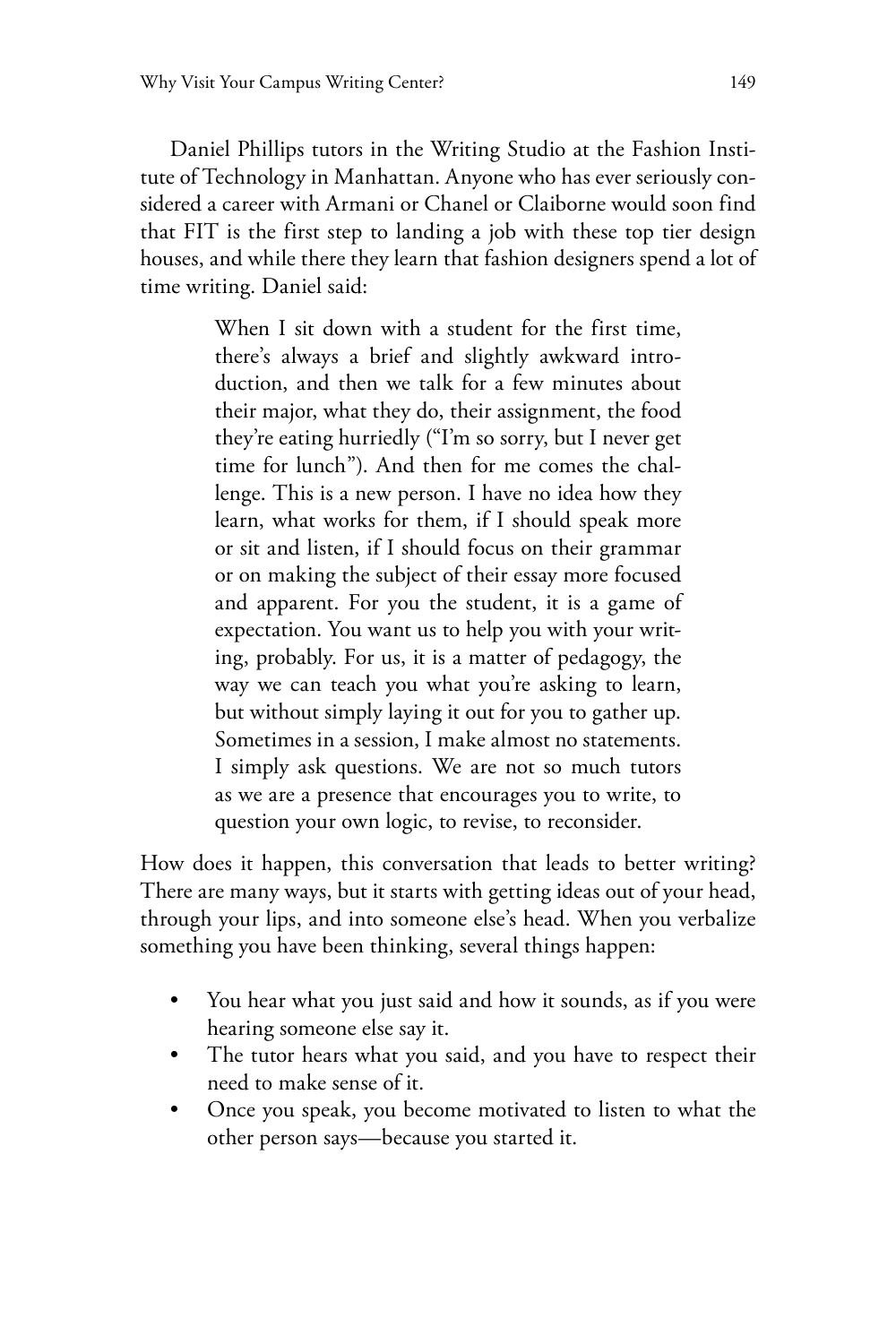Daniel Phillips tutors in the Writing Studio at the Fashion Institute of Technology in Manhattan. Anyone who has ever seriously considered a career with Armani or Chanel or Claiborne would soon find that FIT is the first step to landing a job with these top tier design houses, and while there they learn that fashion designers spend a lot of time writing. Daniel said:

> When I sit down with a student for the first time, there's always a brief and slightly awkward introduction, and then we talk for a few minutes about their major, what they do, their assignment, the food they're eating hurriedly ("I'm so sorry, but I never get time for lunch"). And then for me comes the challenge. This is a new person. I have no idea how they learn, what works for them, if I should speak more or sit and listen, if I should focus on their grammar or on making the subject of their essay more focused and apparent. For you the student, it is a game of expectation. You want us to help you with your writing, probably. For us, it is a matter of pedagogy, the way we can teach you what you're asking to learn, but without simply laying it out for you to gather up. Sometimes in a session, I make almost no statements. I simply ask questions. We are not so much tutors as we are a presence that encourages you to write, to question your own logic, to revise, to reconsider.

How does it happen, this conversation that leads to better writing? There are many ways, but it starts with getting ideas out of your head, through your lips, and into someone else's head. When you verbalize something you have been thinking, several things happen:

- You hear what you just said and how it sounds, as if you were hearing someone else say it.
- The tutor hears what you said, and you have to respect their need to make sense of it.
- Once you speak, you become motivated to listen to what the other person says—because you started it.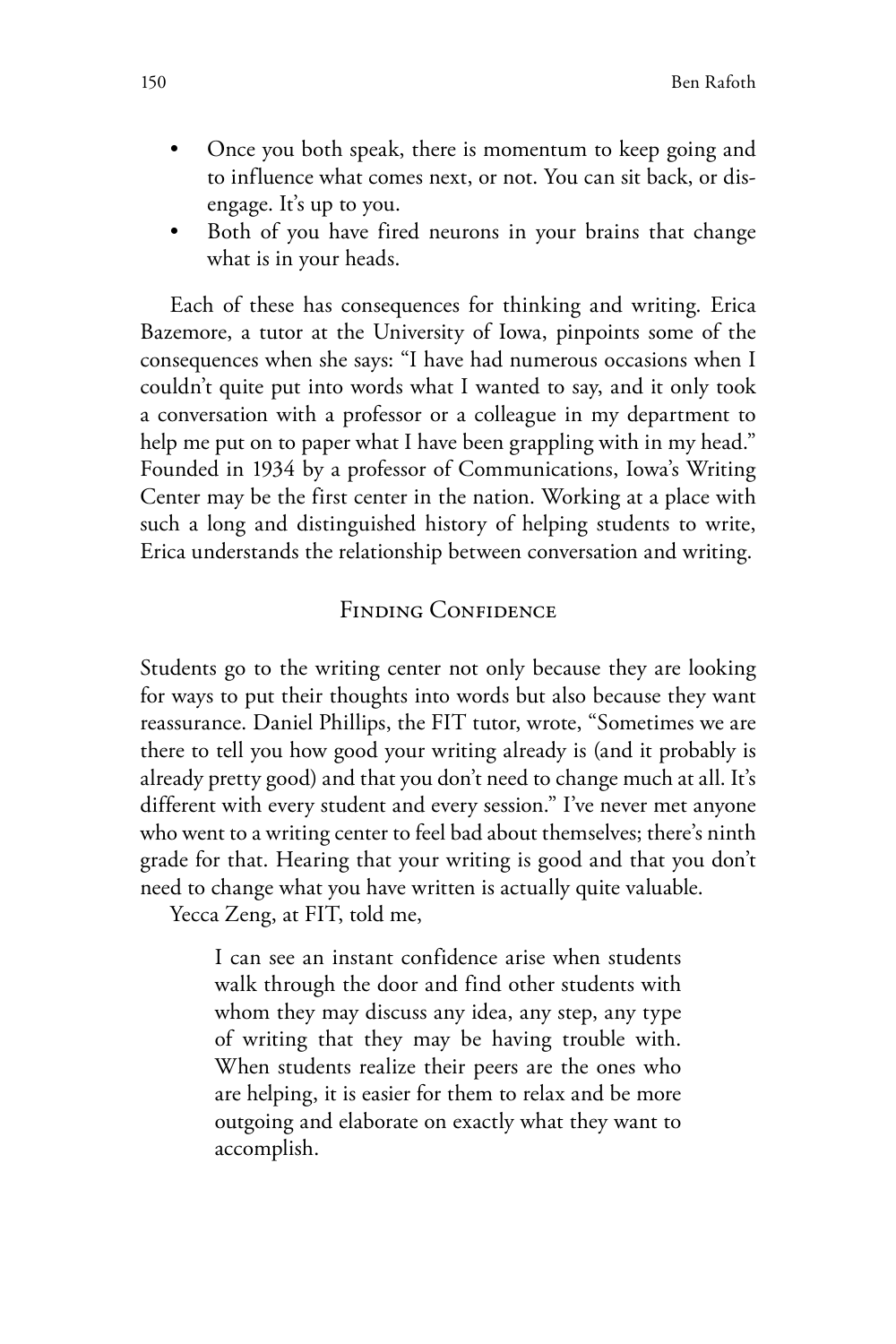- Once you both speak, there is momentum to keep going and to influence what comes next, or not. You can sit back, or disengage. It's up to you.
- Both of you have fired neurons in your brains that change what is in your heads.

Each of these has consequences for thinking and writing. Erica Bazemore, a tutor at the University of Iowa, pinpoints some of the consequences when she says: "I have had numerous occasions when I couldn't quite put into words what I wanted to say, and it only took a conversation with a professor or a colleague in my department to help me put on to paper what I have been grappling with in my head." Founded in 1934 by a professor of Communications, Iowa's Writing Center may be the first center in the nation. Working at a place with such a long and distinguished history of helping students to write, Erica understands the relationship between conversation and writing.

### FINDING CONFIDENCE

Students go to the writing center not only because they are looking for ways to put their thoughts into words but also because they want reassurance. Daniel Phillips, the FIT tutor, wrote, "Sometimes we are there to tell you how good your writing already is (and it probably is already pretty good) and that you don't need to change much at all. It's different with every student and every session." I've never met anyone who went to a writing center to feel bad about themselves; there's ninth grade for that. Hearing that your writing is good and that you don't need to change what you have written is actually quite valuable.

Yecca Zeng, at FIT, told me,

I can see an instant confidence arise when students walk through the door and find other students with whom they may discuss any idea, any step, any type of writing that they may be having trouble with. When students realize their peers are the ones who are helping, it is easier for them to relax and be more outgoing and elaborate on exactly what they want to accomplish.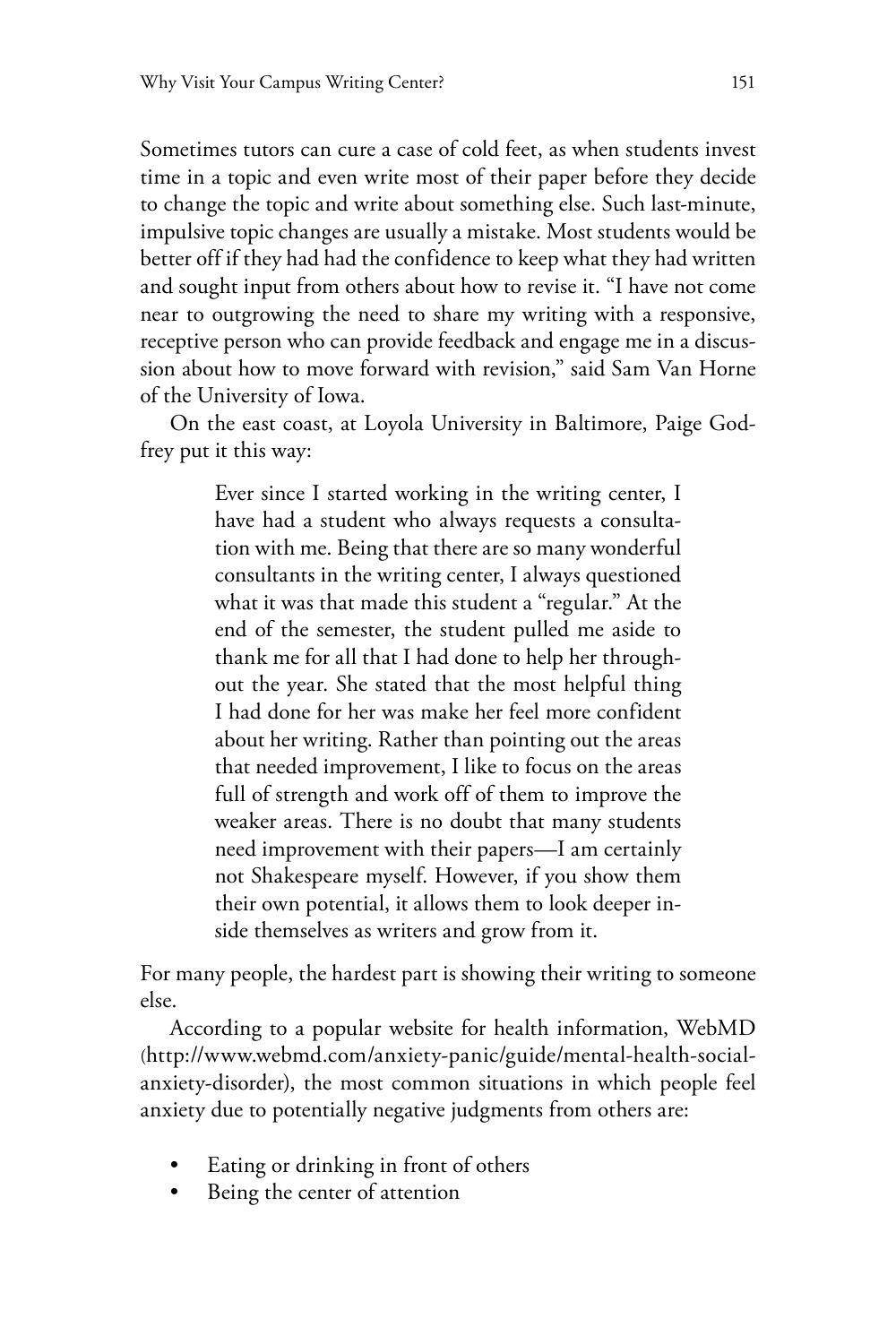Sometimes tutors can cure a case of cold feet, as when students invest time in a topic and even write most of their paper before they decide to change the topic and write about something else. Such last-minute, impulsive topic changes are usually a mistake. Most students would be better off if they had had the confidence to keep what they had written and sought input from others about how to revise it. "I have not come near to outgrowing the need to share my writing with a responsive, receptive person who can provide feedback and engage me in a discussion about how to move forward with revision," said Sam Van Horne of the University of Iowa.

On the east coast, at Loyola University in Baltimore, Paige Godfrey put it this way:

> Ever since I started working in the writing center, I have had a student who always requests a consultation with me. Being that there are so many wonderful consultants in the writing center, I always questioned what it was that made this student a "regular." At the end of the semester, the student pulled me aside to thank me for all that I had done to help her throughout the year. She stated that the most helpful thing I had done for her was make her feel more confident about her writing. Rather than pointing out the areas that needed improvement, I like to focus on the areas full of strength and work off of them to improve the weaker areas. There is no doubt that many students need improvement with their papers—I am certainly not Shakespeare myself. However, if you show them their own potential, it allows them to look deeper inside themselves as writers and grow from it.

For many people, the hardest part is showing their writing to someone else.

According to a popular website for health information, WebMD (http://www.webmd.com/anxiety-panic/guide/mental-health-socialanxiety-disorder), the most common situations in which people feel anxiety due to potentially negative judgments from others are:

- Eating or drinking in front of others
- Being the center of attention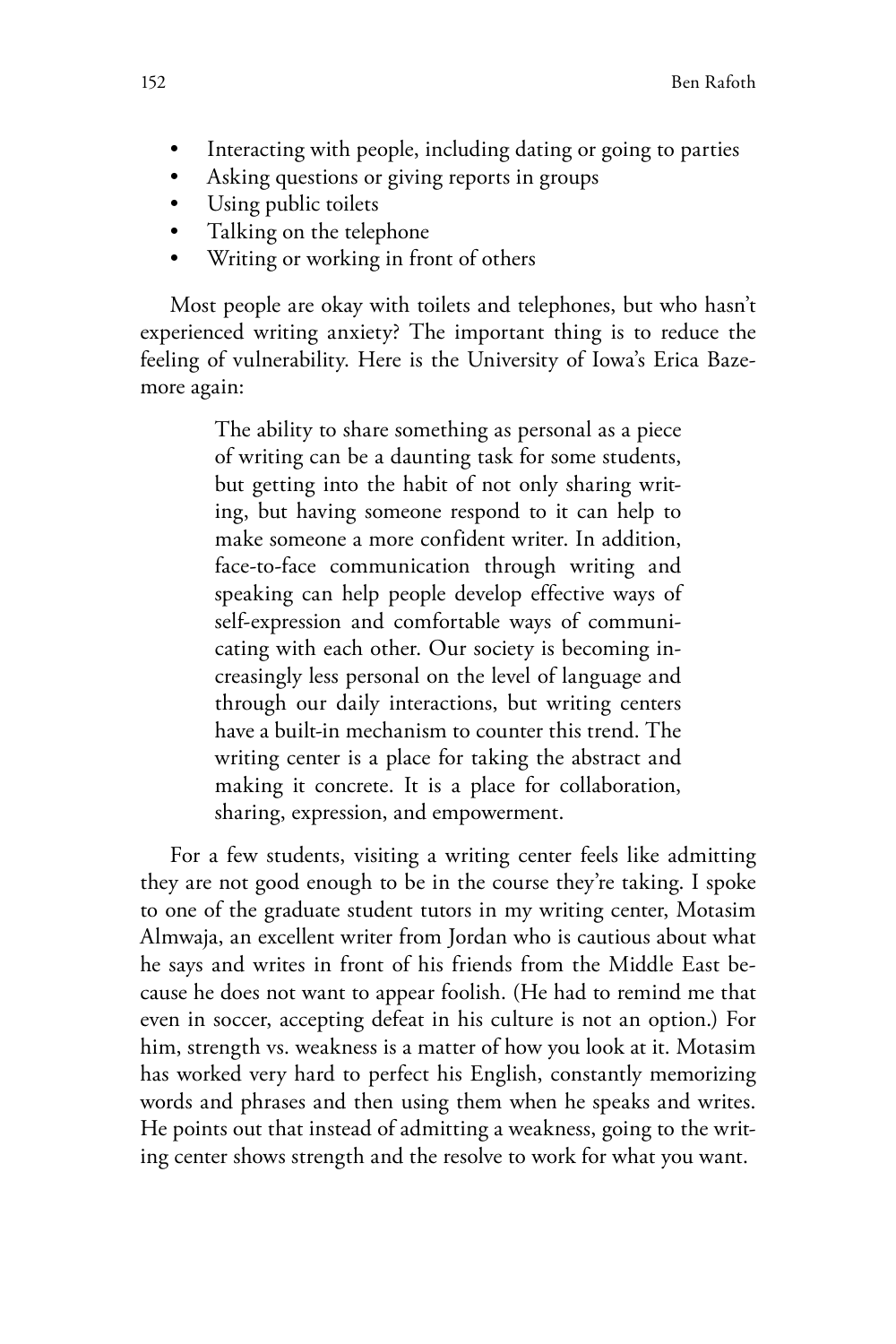- Interacting with people, including dating or going to parties
- Asking questions or giving reports in groups
- Using public toilets
- Talking on the telephone
- Writing or working in front of others

Most people are okay with toilets and telephones, but who hasn't experienced writing anxiety? The important thing is to reduce the feeling of vulnerability. Here is the University of Iowa's Erica Bazemore again:

> The ability to share something as personal as a piece of writing can be a daunting task for some students, but getting into the habit of not only sharing writing, but having someone respond to it can help to make someone a more confident writer. In addition, face-to-face communication through writing and speaking can help people develop effective ways of self-expression and comfortable ways of communicating with each other. Our society is becoming increasingly less personal on the level of language and through our daily interactions, but writing centers have a built-in mechanism to counter this trend. The writing center is a place for taking the abstract and making it concrete. It is a place for collaboration, sharing, expression, and empowerment.

For a few students, visiting a writing center feels like admitting they are not good enough to be in the course they're taking. I spoke to one of the graduate student tutors in my writing center, Motasim Almwaja, an excellent writer from Jordan who is cautious about what he says and writes in front of his friends from the Middle East because he does not want to appear foolish. (He had to remind me that even in soccer, accepting defeat in his culture is not an option.) For him, strength vs. weakness is a matter of how you look at it. Motasim has worked very hard to perfect his English, constantly memorizing words and phrases and then using them when he speaks and writes. He points out that instead of admitting a weakness, going to the writing center shows strength and the resolve to work for what you want.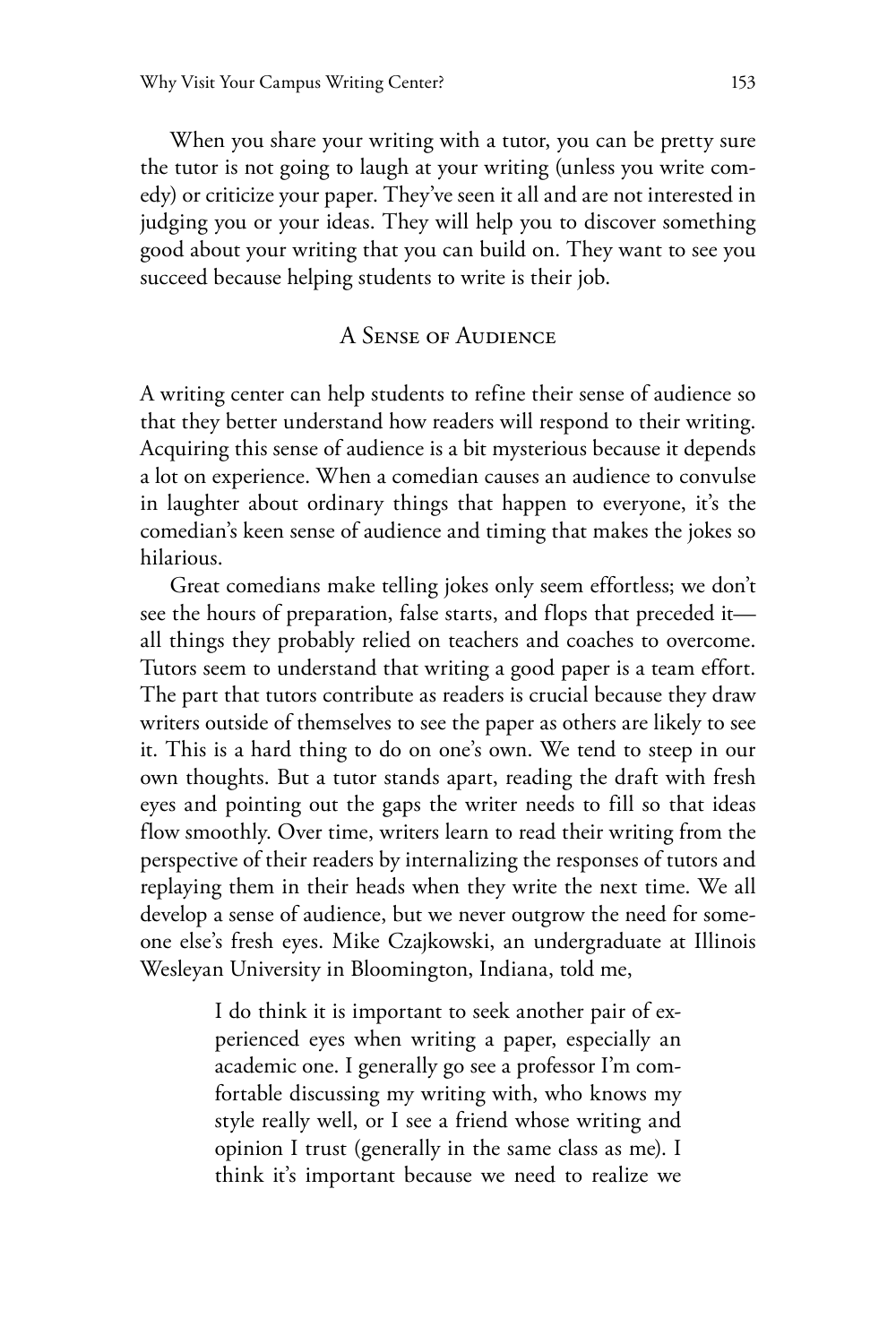When you share your writing with a tutor, you can be pretty sure the tutor is not going to laugh at your writing (unless you write comedy) or criticize your paper. They've seen it all and are not interested in judging you or your ideas. They will help you to discover something good about your writing that you can build on. They want to see you succeed because helping students to write is their job.

#### A Sense of Audience

A writing center can help students to refine their sense of audience so that they better understand how readers will respond to their writing. Acquiring this sense of audience is a bit mysterious because it depends a lot on experience. When a comedian causes an audience to convulse in laughter about ordinary things that happen to everyone, it's the comedian's keen sense of audience and timing that makes the jokes so hilarious.

Great comedians make telling jokes only seem effortless; we don't see the hours of preparation, false starts, and flops that preceded it all things they probably relied on teachers and coaches to overcome. Tutors seem to understand that writing a good paper is a team effort. The part that tutors contribute as readers is crucial because they draw writers outside of themselves to see the paper as others are likely to see it. This is a hard thing to do on one's own. We tend to steep in our own thoughts. But a tutor stands apart, reading the draft with fresh eyes and pointing out the gaps the writer needs to fill so that ideas flow smoothly. Over time, writers learn to read their writing from the perspective of their readers by internalizing the responses of tutors and replaying them in their heads when they write the next time. We all develop a sense of audience, but we never outgrow the need for someone else's fresh eyes. Mike Czajkowski, an undergraduate at Illinois Wesleyan University in Bloomington, Indiana, told me,

> I do think it is important to seek another pair of experienced eyes when writing a paper, especially an academic one. I generally go see a professor I'm comfortable discussing my writing with, who knows my style really well, or I see a friend whose writing and opinion I trust (generally in the same class as me). I think it's important because we need to realize we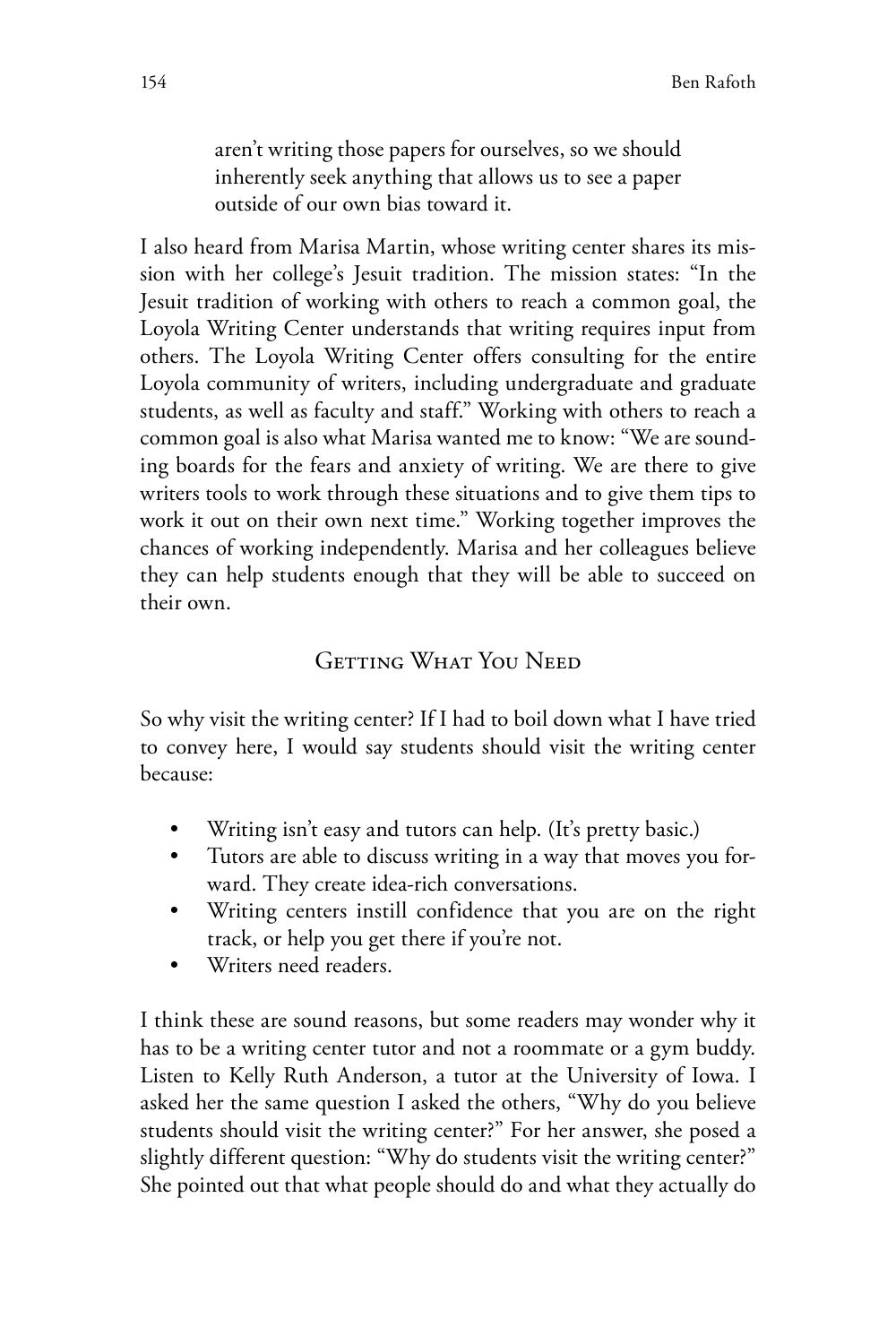aren't writing those papers for ourselves, so we should inherently seek anything that allows us to see a paper outside of our own bias toward it.

I also heard from Marisa Martin, whose writing center shares its mission with her college's Jesuit tradition. The mission states: "In the Jesuit tradition of working with others to reach a common goal, the Loyola Writing Center understands that writing requires input from others. The Loyola Writing Center offers consulting for the entire Loyola community of writers, including undergraduate and graduate students, as well as faculty and staff." Working with others to reach a common goal is also what Marisa wanted me to know: "We are sounding boards for the fears and anxiety of writing. We are there to give writers tools to work through these situations and to give them tips to work it out on their own next time." Working together improves the chances of working independently. Marisa and her colleagues believe they can help students enough that they will be able to succeed on their own.

# GETTING WHAT YOU NEED

So why visit the writing center? If I had to boil down what I have tried to convey here, I would say students should visit the writing center because:

- Writing isn't easy and tutors can help. (It's pretty basic.)
- Tutors are able to discuss writing in a way that moves you forward. They create idea-rich conversations.
- Writing centers instill confidence that you are on the right track, or help you get there if you're not.
- Writers need readers.

I think these are sound reasons, but some readers may wonder why it has to be a writing center tutor and not a roommate or a gym buddy. Listen to Kelly Ruth Anderson, a tutor at the University of Iowa. I asked her the same question I asked the others, "Why do you believe students should visit the writing center?" For her answer, she posed a slightly different question: "Why do students visit the writing center?" She pointed out that what people should do and what they actually do